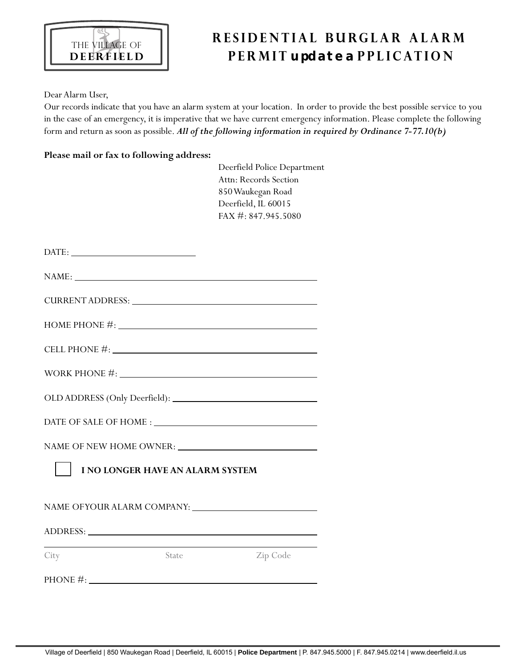

## **R E S I D E N T I A L B U R G L A R A L A R M P E R M I T update a P P L I C AT I O N**

Dear Alarm User,

Our records indicate that you have an alarm system at your location. In order to provide the best possible service to you in the case of an emergency, it is imperative that we have current emergency information. Please complete the following form and return as soon as possible. *All of the following information in required by Ordinance 7-77.10(b)*

## **Please mail or fax to following address:**

| Deerfield Police Department |
|-----------------------------|
| Attn: Records Section       |
| 850 Waukegan Road           |
| Deerfield, IL 60015         |
| FAX #: 847.945.5080         |

| $\text{DATE:}\underbrace{\hspace{2.5cm}}$                                                                                                                                                                                      |              |                                                      |  |  |  |  |
|--------------------------------------------------------------------------------------------------------------------------------------------------------------------------------------------------------------------------------|--------------|------------------------------------------------------|--|--|--|--|
|                                                                                                                                                                                                                                |              | NAME:                                                |  |  |  |  |
|                                                                                                                                                                                                                                |              | CURRENT ADDRESS: University of the CONSTANT ADDRESS: |  |  |  |  |
|                                                                                                                                                                                                                                |              | HOME PHONE $\#$ :                                    |  |  |  |  |
|                                                                                                                                                                                                                                |              | CELL PHONE $\#$ :                                    |  |  |  |  |
| WORK PHONE $\#$ :                                                                                                                                                                                                              |              |                                                      |  |  |  |  |
|                                                                                                                                                                                                                                |              |                                                      |  |  |  |  |
|                                                                                                                                                                                                                                |              |                                                      |  |  |  |  |
|                                                                                                                                                                                                                                |              |                                                      |  |  |  |  |
| <b>I NO LONGER HAVE AN ALARM SYSTEM</b>                                                                                                                                                                                        |              |                                                      |  |  |  |  |
|                                                                                                                                                                                                                                |              |                                                      |  |  |  |  |
| ADDRESS: New York Contract the Contract of the Contract of the Contract of the Contract of the Contract of the Contract of the Contract of the Contract of the Contract of the Contract of the Contract of the Contract of the |              |                                                      |  |  |  |  |
| City                                                                                                                                                                                                                           | <b>State</b> | Zip Code                                             |  |  |  |  |
| PHONE $\#$ :                                                                                                                                                                                                                   |              |                                                      |  |  |  |  |